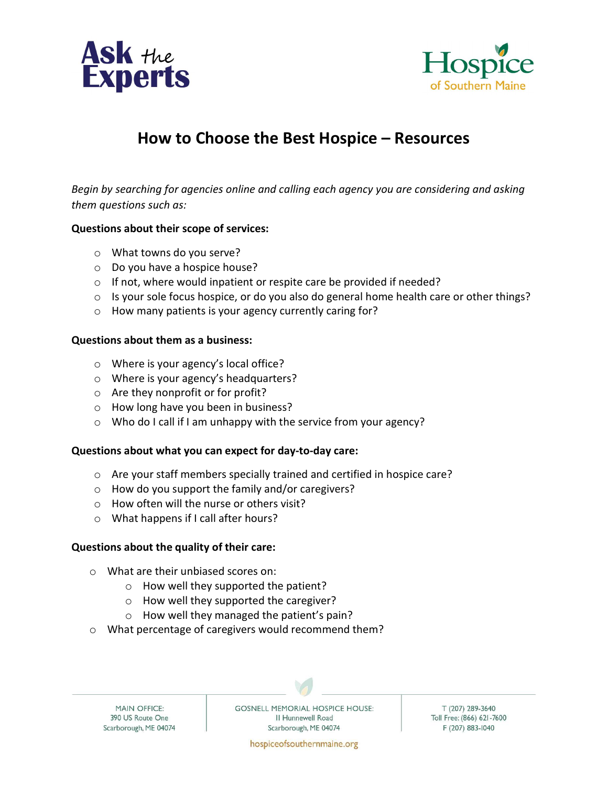



# How to Choose the Best Hospice – Resources

Begin by searching for agencies online and calling each agency you are considering and asking them questions such as:

#### Questions about their scope of services:

- o What towns do you serve?
- o Do you have a hospice house?
- o If not, where would inpatient or respite care be provided if needed?
- o Is your sole focus hospice, or do you also do general home health care or other things?
- o How many patients is your agency currently caring for?

#### Questions about them as a business:

- o Where is your agency's local office?
- o Where is your agency's headquarters?
- o Are they nonprofit or for profit?
- o How long have you been in business?
- o Who do I call if I am unhappy with the service from your agency?

#### Questions about what you can expect for day-to-day care:

- o Are your staff members specially trained and certified in hospice care?
- o How do you support the family and/or caregivers?
- o How often will the nurse or others visit?
- o What happens if I call after hours?

#### Questions about the quality of their care:

- o What are their unbiased scores on:
	- o How well they supported the patient?
	- o How well they supported the caregiver?
	- o How well they managed the patient's pain?
- o What percentage of caregivers would recommend them?

**MAIN OFFICE:** 390 US Route One Scarborough, ME 04074 **GOSNELL MEMORIAL HOSPICE HOUSE:** II Hunnewell Road Scarborough, ME 04074

T (207) 289-3640 Toll Free: (866) 621-7600 F (207) 883-1040

hospiceofsouthernmaine.org